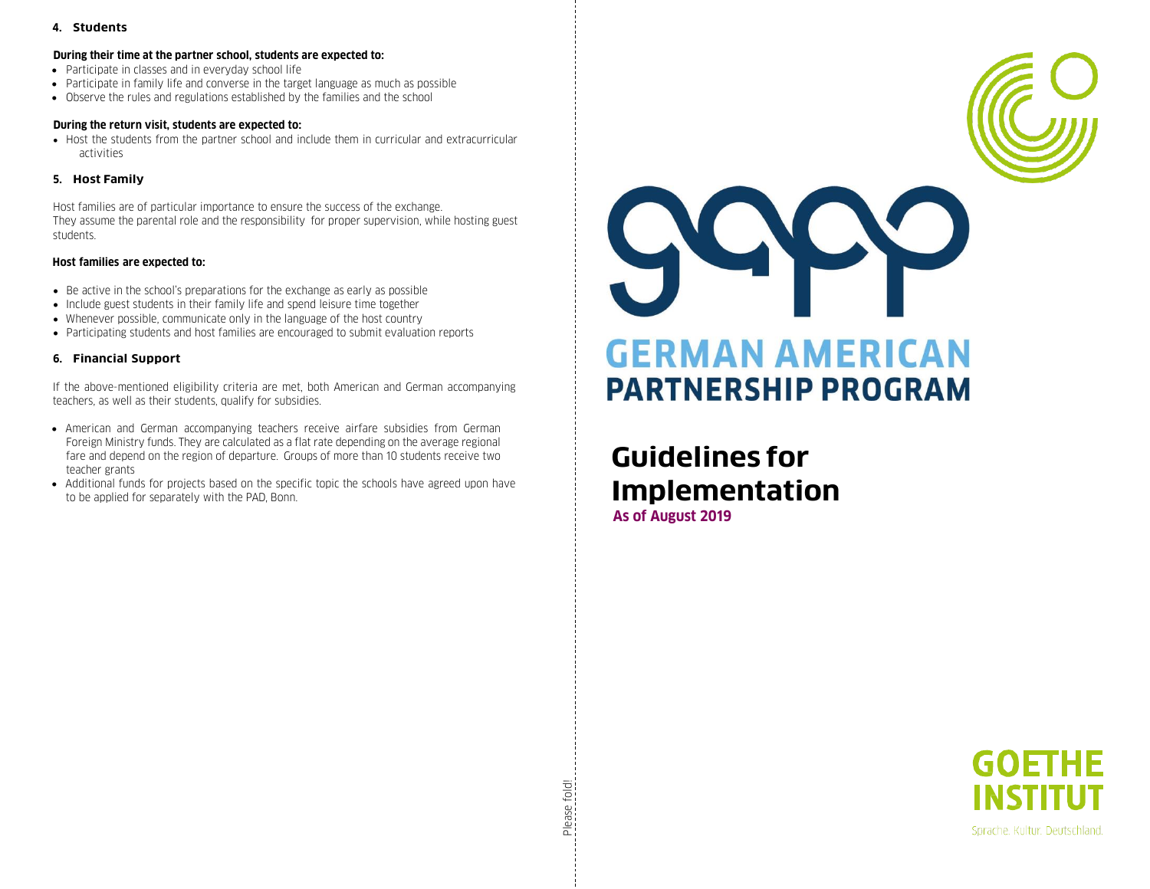# **4. Students**

#### **During their time at the partner school, students are expected to:**

- Participate in classes and in everyday school life
- Participate in family life and converse in the target language as much as possible
- Observe the rules and regulations established by the families and the school

## **During the return visit, students are expected to:**

• Host the students from the partner school and include them in curricular and extracurricular activities

# **5. Host Family**

Host families are of particular importance to ensure the success of the exchange. They assume the parental role and the responsibility for proper supervision, while hosting guest students.

# **Host families are expected to:**

- Be active in the school's preparations for the exchange as early as possible
- Include guest students in their family life and spend leisure time together
- Whenever possible, communicate only in the language of the host country
- Participating students and host families are encouraged to submit evaluation reports

# **6. Financial Support**

If the above-mentioned eligibility criteria are met, both American and German accompanying teachers, as well as their students, qualify for subsidies.

- American and German accompanying teachers receive airfare subsidies from German Foreign Ministry funds. They are calculated as a flat rate depending on the average regional fare and depend on the region of departure. Groups of more than 10 students receive two teacher grants
- Additional funds for projects based on the specific topic the schools have agreed upon have to be applied for separately with the PAD, Bonn.



# **Guidelines for Implementation As of August 2019**